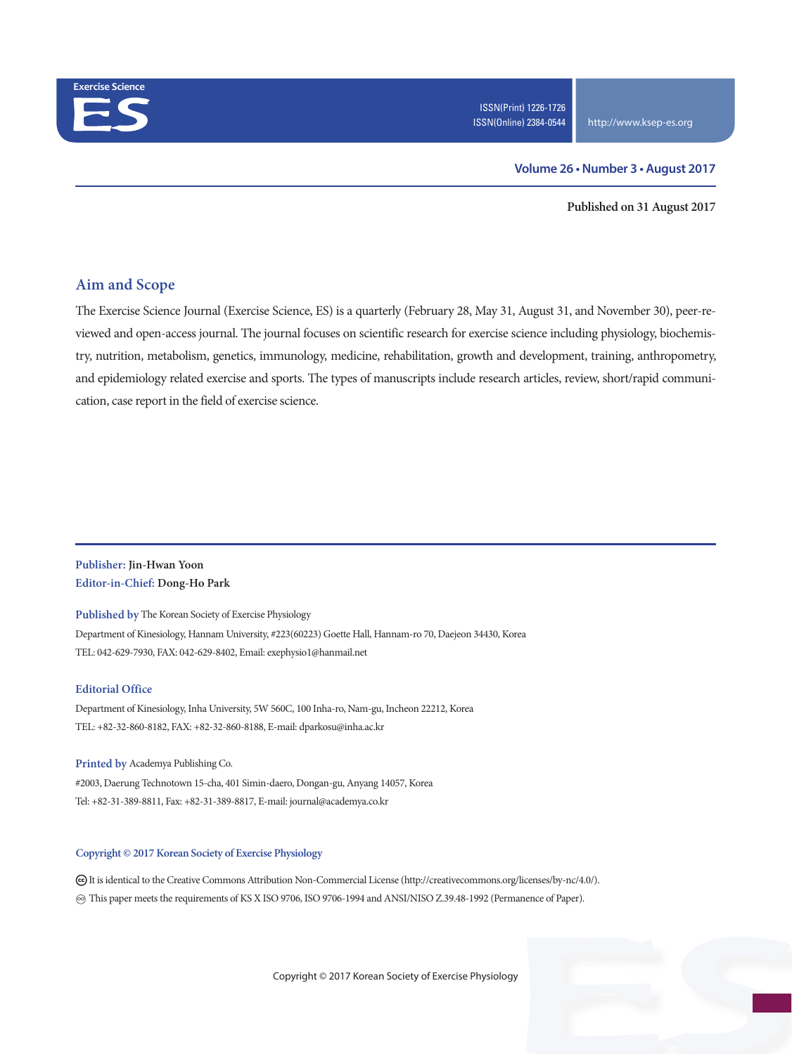

#### **Volume 26 • Number 3 • August 2017**

**Published on 31 August 2017**

### **Aim and Scope**

The Exercise Science Journal (Exercise Science, ES) is a quarterly (February 28, May 31, August 31, and November 30), peer-reviewed and open-access journal. The journal focuses on scientific research for exercise science including physiology, biochemistry, nutrition, metabolism, genetics, immunology, medicine, rehabilitation, growth and development, training, anthropometry, and epidemiology related exercise and sports. The types of manuscripts include research articles, review, short/rapid communication, case report in the field of exercise science.

#### **Publisher: Jin-Hwan Yoon Editor-in-Chief: Dong-Ho Park**

**Published by** The Korean Society of Exercise Physiology Department of Kinesiology, Hannam University, #223(60223) Goette Hall, Hannam-ro 70, Daejeon 34430, Korea TEL: 042-629-7930, FAX: 042-629-8402, Email: exephysio1@hanmail.net

#### **Editorial Office**

Department of Kinesiology, Inha University, 5W 560C, 100 Inha-ro, Nam-gu, Incheon 22212, Korea TEL: +82-32-860-8182, FAX: +82-32-860-8188, E-mail: dparkosu@inha.ac.kr

**Printed by** Academya Publishing Co. #2003, Daerung Technotown 15-cha, 401 Simin-daero, Dongan-gu, Anyang 14057, Korea Tel: +82-31-389-8811, Fax: +82-31-389-8817, E-mail: journal@academya.co.kr

#### **Copyright © 2017 Korean Society of Exercise Physiology**

 It is identical to the Creative Commons Attribution Non-Commercial License (http://creativecommons.org/licenses/by-nc/4.0/). ∞ This paper meets the requirements of KS X ISO 9706, ISO 9706-1994 and ANSI/NISO Z.39.48-1992 (Permanence of Paper).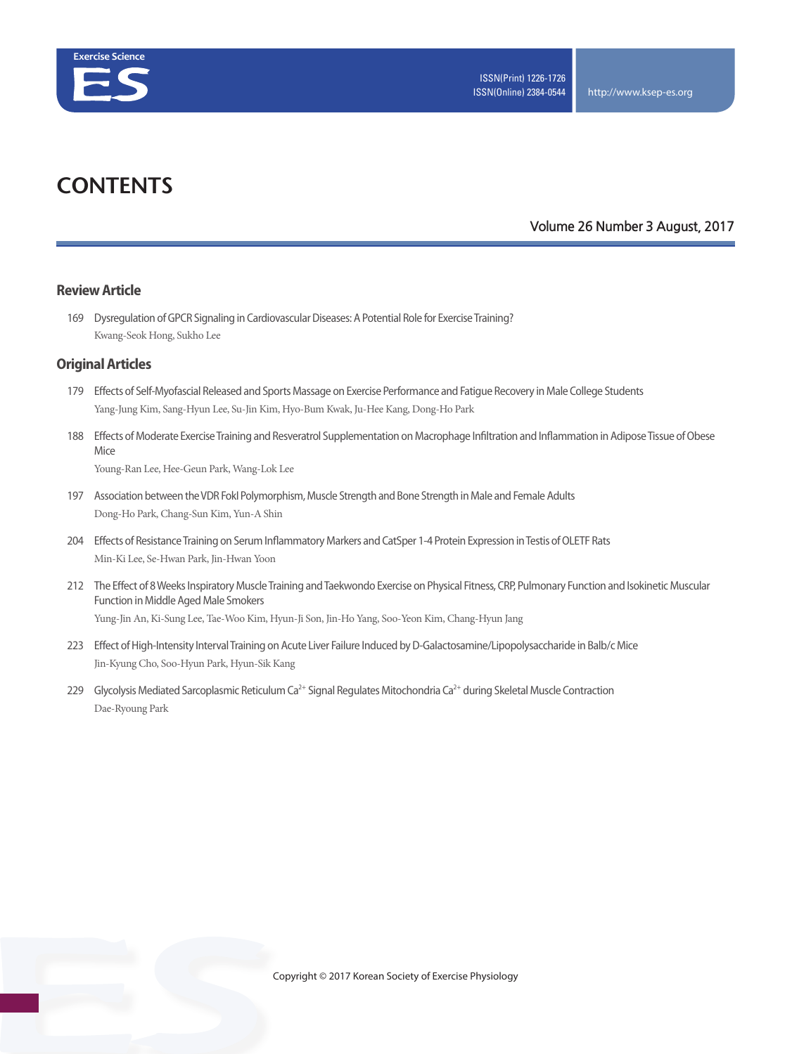

# **CONTENTS**

#### **Volume 26 Number 3 August, 2017**

#### **Review Article**

169 Dysregulation of GPCR Signaling in Cardiovascular Diseases: A Potential Role for Exercise Training? Kwang-Seok Hong, Sukho Lee

#### **Original Articles**

- 179 Effects of Self-Myofascial Released and Sports Massage on Exercise Performance and Fatigue Recovery in Male College Students Yang-Jung Kim, Sang-Hyun Lee, Su-Jin Kim, Hyo-Bum Kwak, Ju-Hee Kang, Dong-Ho Park
- 188 Effects of Moderate Exercise Training and Resveratrol Supplementation on Macrophage Infiltration and Inflammation in Adipose Tissue of Obese Mice

Young-Ran Lee, Hee-Geun Park, Wang-Lok Lee

- 197 Association between the VDR FokI Polymorphism, Muscle Strength and Bone Strength in Male and Female Adults Dong-Ho Park, Chang-Sun Kim, Yun-A Shin
- 204 Effects of Resistance Training on Serum Inflammatory Markers and CatSper 1-4 Protein Expression in Testis of OLETF Rats Min-Ki Lee, Se-Hwan Park, Jin-Hwan Yoon
- 212 The Effect of 8 Weeks Inspiratory Muscle Training and Taekwondo Exercise on Physical Fitness, CRP, Pulmonary Function and Isokinetic Muscular Function in Middle Aged Male Smokers Yung-Jin An, Ki-Sung Lee, Tae-Woo Kim, Hyun-Ji Son, Jin-Ho Yang, Soo-Yeon Kim, Chang-Hyun Jang
- 223 Effect of High-Intensity Interval Training on Acute Liver Failure Induced by D-Galactosamine/Lipopolysaccharide in Balb/c Mice Jin-Kyung Cho, Soo-Hyun Park, Hyun-Sik Kang
- 229 Glycolysis Mediated Sarcoplasmic Reticulum Ca<sup>2+</sup> Signal Regulates Mitochondria Ca<sup>2+</sup> during Skeletal Muscle Contraction Dae-Ryoung Park